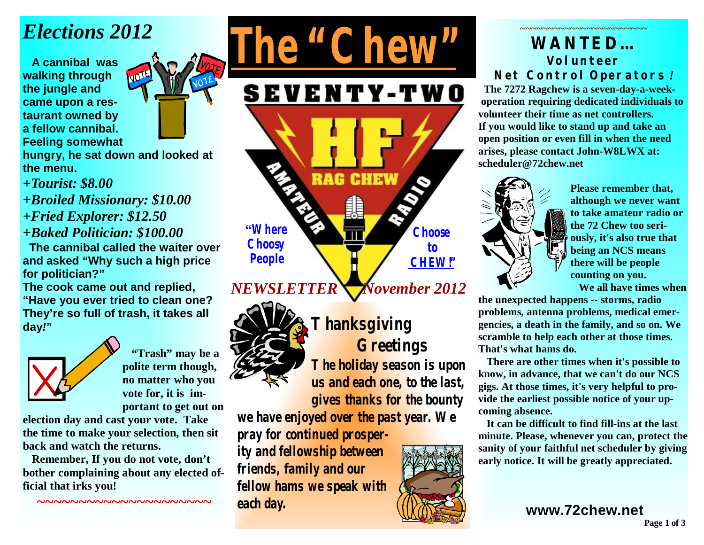# *Elections 2012*

 **A cannibal was walking through the jungle and came upon a restaurant owned by a fellow cannibal. Feeling somewhat** 



**hungry, he sat down and looked at the menu.** 

*+Tourist: \$8.00* 

*+Broiled Missionary: \$10.00 +Fried Explorer: \$12.50 +Baked Politician: \$100.00* 

 **The cannibal called the waiter over and asked "Why such a high price for politician?"** 

**The cook came out and replied, "Have you ever tried to clean one? They're so full of trash, it takes all day***!***"** 



 **"Trash" may be a polite term though, no matter who you vote for, it is important to get out on** 

**election day and cast your vote. Take the time to make your selection, then sit back and watch the returns.** 

 **Remember, If you do not vote, don't bother complaining about any elected official that irks you!**

**~~~~~~~~~~~~~~~~~~~~~** 

**SEVENTY-TWO** 

*The "Chew"*

**RAG CHEW "Where Choose Choosy to People CHEW!"**

## *NEWSLETTER*  *November 2012*



**Thanksgiving Greetings The holiday season is upon us and each one, to the last, gives thanks for the bounty** 

**we have enjoyed over the past year. We pray for continued prosper-**

**ity and fellowship between friends, family and our fellow hams we speak with each day.** 

### **~~~~~~~~~~~~~~~~~~~~~~~ WANTED… Volunteer Net Control Operators** *!*

 **The 7272 Ragchew is a seven-day-a-weekoperation requiring dedicated individuals to volunteer their time as net controllers. If you would like to stand up and take an open position or even fill in when the need arises, please contact John-W8LWX at: [scheduler@72chew.net](mailto:scheduler@72chew.net)**



**Please remember that, although we never want to take amateur radio or the 72 Chew too seriously, it's also true that being an NCS means there will be people counting on you.** 

 **We all have times when** 

**the unexpected happens -- storms, radio problems, antenna problems, medical emergencies, a death in the family, and so on. We scramble to help each other at those times. That's what hams do.** 

 **There are other times when it's possible to know, in advance, that we can't do our NCS gigs. At those times, it's very helpful to provide the earliest possible notice of your upcoming absence.** 

 **It can be difficult to find fill-ins at the last minute. Please, whenever you can, protect the sanity of your faithful net scheduler by giving early notice. It will be greatly appreciated.**

**[www.72chew.net](http://www.72chew.net)**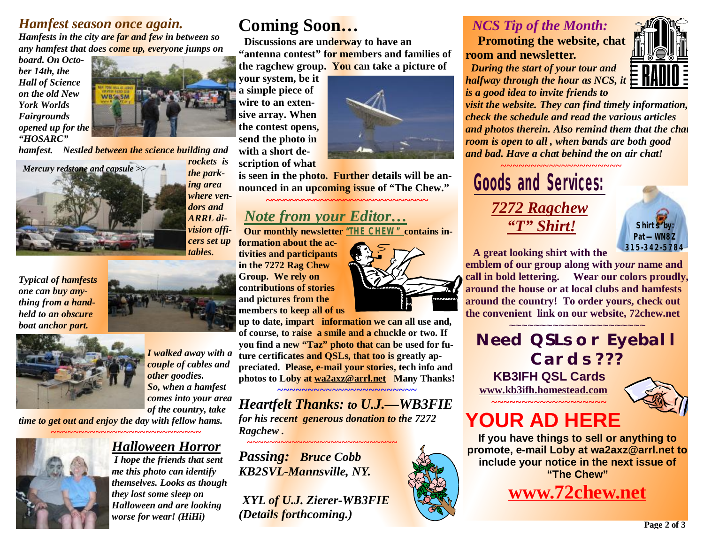### *Hamfest season once again.*

*Hamfests in the city are far and few in between so any hamfest that does come up, everyone jumps on* 

*board. On October 14th, the Hall of Science on the old New York Worlds Fairgrounds opened up for the "HOSARC"* 



*hamfest. Nestled between the science building and* 



*the parking area where vendors and ARRL division officers set up tables.* 

*Typical of hamfests one can buy anything from a handheld to an obscure boat anchor part.* 



*I walked away with a couple of cables and other goodies. So, when a hamfest comes into your area of the country, take time to get out and enjoy the day with fellow hams.* 

*~~~~~~~~~~~~~~~~~~~~~~~~~~~* 

### *Halloween Horror I hope the friends that sent*

*me this photo can identify themselves. Looks as though they lost some sleep on Halloween and are looking worse for wear! (HiHi)*

## **Coming Soon…**

 **Discussions are underway to have an "antenna contest" for members and families of the ragchew group. You can take a picture of** 

**your system, be it a simple piece of wire to an extensive array. When the contest opens, send the photo in with a short description of what** 

**is seen in the photo. Further details will be an-**

**nounced in an upcoming issue of "The Chew."** 

## *Note from your Editor…*

 **Our monthly newsletter** *"THE CHEW"* **contains in-**

**formation about the activities and participants in the 7272 Rag Chew Group. We rely on contributions of stories and pictures from the members to keep all of us** 

**up to date, impart information we can all use and, of course, to raise a smile and a chuckle or two. If you find a new "Taz" photo that can be used for future certificates and QSLs, that too is greatly appreciated. Please, e-mail your stories, tech info and photos to Loby at [wa2axz@arrl.net](mailto:wa2axz@arrl.net) Many Thanks!** *~~~~~~~~~~~~~~~~~~~~~~~* 

*Heartfelt Thanks: to U.J.—WB3FIE for his recent generous donation to the 7272 Ragchew . ~~~~~~~~~~~~~~~~~~~~~~~~~~~* 

*Passing: Bruce Cobb KB2SVL-Mannsville, NY.* 

*XYL of U.J. Zierer-WB3FIE (Details forthcoming.)* 

**~~~~~~~~~~~~~~~~~~~~~~~~~~~** 



*halfway through the hour as NCS, it is a good idea to invite friends to visit the website. They can find timely information, check the schedule and read the various articles and photos therein. Also remind them that the chat room is open to all , when bands are both good* 

*and bad. Have a chat behind the on air chat!* 

*~~~~~~~~~~~~~~~~~~~~*  **Goods and Services:** *7272 Ragchew "T" Shirt!*

 *NCS Tip of the Month:* 

 *During the start of your tour and* 

**room and newsletter.**



 **A great looking shirt with the** 

**emblem of our group along with** *your* **name and call in bold lettering. Wear our colors proudly, around the house or at local clubs and hamfests around the country! To order yours, check out the convenient link on our website, 72chew.net** 

~~~~~~~~~~~~~~~~~~~~~~ *Need QSLs or Eyeball Cards ???*   **KB3IFH QSL Cards** 

**[www.kb3ifh.homestead.com](http://www.kb3ifh.homestead.com)** *~~~~~~~~~~~~~~~~~~~* 



# **YOUR AD HERE**

**If you have things to sell or anything to promote, e-mail Loby at [wa2axz@arrl.net](mailto:wa2axz@arrl.net) to include your notice in the next issue of "The Chew"**